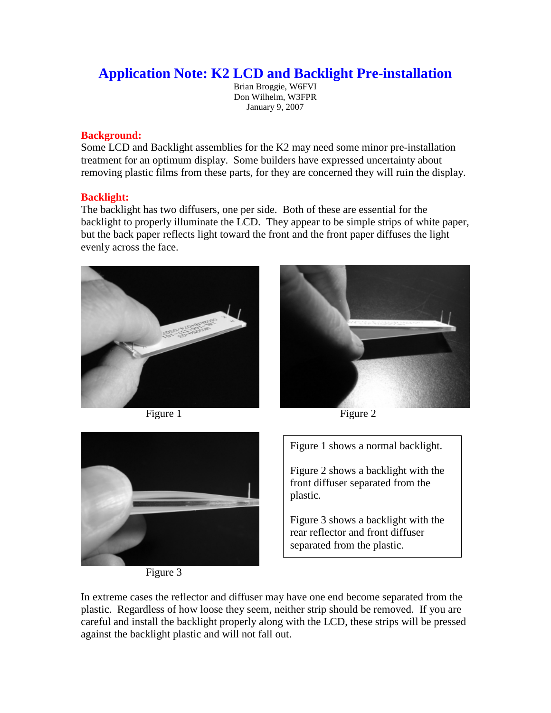## **Application Note: K2 LCD and Backlight Pre-installation**

Brian Broggie, W6FVI Don Wilhelm, W3FPR January 9, 2007

## **Background:**

Some LCD and Backlight assemblies for the K2 may need some minor pre-installation treatment for an optimum display. Some builders have expressed uncertainty about removing plastic films from these parts, for they are concerned they will ruin the display.

## **Backlight:**

The backlight has two diffusers, one per side. Both of these are essential for the backlight to properly illuminate the LCD. They appear to be simple strips of white paper, but the back paper reflects light toward the front and the front paper diffuses the light evenly across the face.





Figure 1 Figure 2



Figure 3

Figure 1 shows a normal backlight.

Figure 2 shows a backlight with the front diffuser separated from the plastic.

Figure 3 shows a backlight with the rear reflector and front diffuser separated from the plastic.

In extreme cases the reflector and diffuser may have one end become separated from the plastic. Regardless of how loose they seem, neither strip should be removed. If you are careful and install the backlight properly along with the LCD, these strips will be pressed against the backlight plastic and will not fall out.